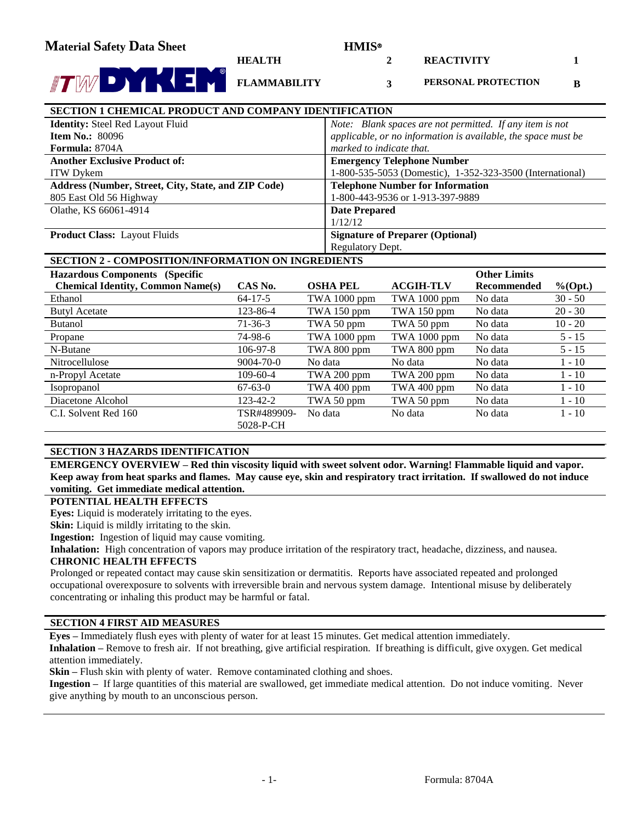| <b>Material Safety Data Sheet</b> |                     | <b>HMIS®</b> |                     |  |
|-----------------------------------|---------------------|--------------|---------------------|--|
|                                   | <b>HEALTH</b>       |              | <b>REACTIVITY</b>   |  |
| WIW PARKEN                        | <b>FLAMMABILITY</b> |              | PERSONAL PROTECTION |  |

| <b>SECTION 1 CHEMICAL PRODUCT AND COMPANY IDENTIFICATION</b> |                                                               |  |  |  |  |
|--------------------------------------------------------------|---------------------------------------------------------------|--|--|--|--|
| <b>Identity:</b> Steel Red Layout Fluid                      | Note: Blank spaces are not permitted. If any item is not      |  |  |  |  |
| <b>Item No.: 80096</b>                                       | applicable, or no information is available, the space must be |  |  |  |  |
| <b>Formula: 8704A</b>                                        | marked to indicate that.                                      |  |  |  |  |
| <b>Another Exclusive Product of:</b>                         | <b>Emergency Telephone Number</b>                             |  |  |  |  |
| <b>ITW</b> Dykem                                             | 1-800-535-5053 (Domestic), 1-352-323-3500 (International)     |  |  |  |  |
| Address (Number, Street, City, State, and ZIP Code)          | <b>Telephone Number for Information</b>                       |  |  |  |  |
| 805 East Old 56 Highway                                      | 1-800-443-9536 or 1-913-397-9889                              |  |  |  |  |
| Olathe, KS 66061-4914                                        | <b>Date Prepared</b>                                          |  |  |  |  |
|                                                              | 1/12/12                                                       |  |  |  |  |
| <b>Product Class: Layout Fluids</b>                          | <b>Signature of Preparer (Optional)</b>                       |  |  |  |  |
|                                                              | Regulatory Dept.                                              |  |  |  |  |
| <b>SECTION 2 - COMPOSITION/INFORMATION ON INGREDIENTS</b>    |                                                               |  |  |  |  |
| Hazandaus Campanants (Specific)                              | $Othon$ I imits                                               |  |  |  |  |

| <b>Hazardous Components (Specific</b>    |                 |                 |                  | <b>Other Limits</b> |             |
|------------------------------------------|-----------------|-----------------|------------------|---------------------|-------------|
| <b>Chemical Identity, Common Name(s)</b> | CAS No.         | <b>OSHA PEL</b> | <b>ACGIH-TLV</b> | <b>Recommended</b>  | $\%$ (Opt.) |
| Ethanol                                  | $64 - 17 - 5$   | TWA 1000 ppm    | TWA 1000 ppm     | No data             | $30 - 50$   |
| <b>Butyl Acetate</b>                     | 123-86-4        | TWA 150 ppm     | TWA 150 ppm      | No data             | $20 - 30$   |
| <b>Butanol</b>                           | $71-36-3$       | TWA 50 ppm      | TWA 50 ppm       | No data             | $10 - 20$   |
| Propane                                  | 74-98-6         | TWA 1000 ppm    | TWA 1000 ppm     | No data             | $5 - 15$    |
| N-Butane                                 | $106 - 97 - 8$  | TWA 800 ppm     | TWA 800 ppm      | No data             | $5 - 15$    |
| Nitrocellulose                           | $9004 - 70 - 0$ | No data         | No data          | No data             | $1 - 10$    |
| n-Propyl Acetate                         | 109-60-4        | TWA 200 ppm     | TWA 200 ppm      | No data             | 1 - 10      |
| Isopropanol                              | $67-63-0$       | TWA 400 ppm     | TWA 400 ppm      | No data             | $1 - 10$    |
| Diacetone Alcohol                        | 123-42-2        | TWA 50 ppm      | TWA 50 ppm       | No data             | $1 - 10$    |
| C.I. Solvent Red 160                     | TSR#489909-     | No data         | No data          | No data             | $1 - 10$    |
|                                          | 5028-P-CH       |                 |                  |                     |             |

#### **SECTION 3 HAZARDS IDENTIFICATION**

**EMERGENCY OVERVIEW – Red thin viscosity liquid with sweet solvent odor. Warning! Flammable liquid and vapor. Keep away from heat sparks and flames. May cause eye, skin and respiratory tract irritation. If swallowed do not induce vomiting. Get immediate medical attention.**

#### **POTENTIAL HEALTH EFFECTS**

**Eyes:** Liquid is moderately irritating to the eyes.

**Skin:** Liquid is mildly irritating to the skin.

**Ingestion:** Ingestion of liquid may cause vomiting.

**Inhalation:** High concentration of vapors may produce irritation of the respiratory tract, headache, dizziness, and nausea.

### **CHRONIC HEALTH EFFECTS**

Prolonged or repeated contact may cause skin sensitization or dermatitis. Reports have associated repeated and prolonged occupational overexposure to solvents with irreversible brain and nervous system damage. Intentional misuse by deliberately concentrating or inhaling this product may be harmful or fatal.

#### **SECTION 4 FIRST AID MEASURES**

**Eyes –** Immediately flush eyes with plenty of water for at least 15 minutes. Get medical attention immediately.

**Inhalation –** Remove to fresh air. If not breathing, give artificial respiration. If breathing is difficult, give oxygen. Get medical attention immediately.

**Skin** – Flush skin with plenty of water. Remove contaminated clothing and shoes.

**Ingestion –** If large quantities of this material are swallowed, get immediate medical attention. Do not induce vomiting. Never give anything by mouth to an unconscious person.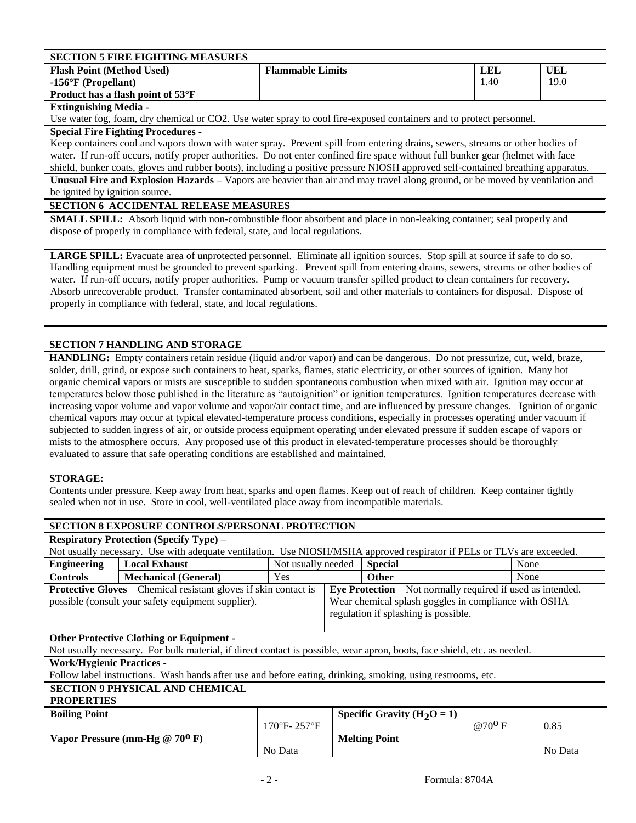| <b>SECTION 5 FIRE FIGHTING MEASURES</b>                                     |                         |      |      |  |  |  |
|-----------------------------------------------------------------------------|-------------------------|------|------|--|--|--|
| <b>Flash Point (Method Used)</b>                                            | <b>Flammable Limits</b> | LEL  | UEL  |  |  |  |
| $-156^{\circ}$ F (Propellant)                                               |                         | 1.40 | 19.0 |  |  |  |
| Product has a flash point of $53^{\circ}$ F                                 |                         |      |      |  |  |  |
| $\Gamma$ and a contribution of $\Lambda$ $\Gamma$ and $\Gamma$ and $\Gamma$ |                         |      |      |  |  |  |

### **Extinguishing Media -**

Use water fog, foam, dry chemical or CO2. Use water spray to cool fire-exposed containers and to protect personnel.

## **Special Fire Fighting Procedures -**

Keep containers cool and vapors down with water spray. Prevent spill from entering drains, sewers, streams or other bodies of water. If run-off occurs, notify proper authorities. Do not enter confined fire space without full bunker gear (helmet with face shield, bunker coats, gloves and rubber boots), including a positive pressure NIOSH approved self-contained breathing apparatus.

**Unusual Fire and Explosion Hazards –** Vapors are heavier than air and may travel along ground, or be moved by ventilation and be ignited by ignition source.

## **SECTION 6 ACCIDENTAL RELEASE MEASURES**

**SMALL SPILL:** Absorb liquid with non-combustible floor absorbent and place in non-leaking container; seal properly and dispose of properly in compliance with federal, state, and local regulations.

LARGE SPILL: Evacuate area of unprotected personnel. Eliminate all ignition sources. Stop spill at source if safe to do so. Handling equipment must be grounded to prevent sparking. Prevent spill from entering drains, sewers, streams or other bodies of water. If run-off occurs, notify proper authorities. Pump or vacuum transfer spilled product to clean containers for recovery. Absorb unrecoverable product. Transfer contaminated absorbent, soil and other materials to containers for disposal. Dispose of properly in compliance with federal, state, and local regulations.

## **SECTION 7 HANDLING AND STORAGE**

**HANDLING:** Empty containers retain residue (liquid and/or vapor) and can be dangerous. Do not pressurize, cut, weld, braze, solder, drill, grind, or expose such containers to heat, sparks, flames, static electricity, or other sources of ignition. Many hot organic chemical vapors or mists are susceptible to sudden spontaneous combustion when mixed with air. Ignition may occur at temperatures below those published in the literature as "autoignition" or ignition temperatures. Ignition temperatures decrease with increasing vapor volume and vapor volume and vapor/air contact time, and are influenced by pressure changes. Ignition of organic chemical vapors may occur at typical elevated-temperature process conditions, especially in processes operating under vacuum if subjected to sudden ingress of air, or outside process equipment operating under elevated pressure if sudden escape of vapors or mists to the atmosphere occurs. Any proposed use of this product in elevated-temperature processes should be thoroughly evaluated to assure that safe operating conditions are established and maintained.

#### **STORAGE:**

Contents under pressure. Keep away from heat, sparks and open flames. Keep out of reach of children. Keep container tightly sealed when not in use. Store in cool, well-ventilated place away from incompatible materials.

# **SECTION 8 EXPOSURE CONTROLS/PERSONAL PROTECTION**

## **Respiratory Protection (Specify Type) –**

Not usually necessary. Use with adequate ventilation. Use NIOSH/MSHA approved respirator if PELs or TLVs are exceeded.

| <b>Engineering</b>                                                      | <b>Local Exhaust</b>        | Not usually needed |                                                                    | <b>Special</b>                                                                               |  | None |
|-------------------------------------------------------------------------|-----------------------------|--------------------|--------------------------------------------------------------------|----------------------------------------------------------------------------------------------|--|------|
| <b>Controls</b>                                                         | <b>Mechanical (General)</b> | Yes                |                                                                    | <b>Other</b>                                                                                 |  | None |
| <b>Protective Gloves</b> – Chemical resistant gloves if skin contact is |                             |                    | <b>Eye Protection</b> – Not normally required if used as intended. |                                                                                              |  |      |
| possible (consult your safety equipment supplier).                      |                             |                    |                                                                    | Wear chemical splash goggles in compliance with OSHA<br>regulation if splashing is possible. |  |      |
|                                                                         |                             |                    |                                                                    |                                                                                              |  |      |

## **Other Protective Clothing or Equipment -**

Not usually necessary. For bulk material, if direct contact is possible, wear apron, boots, face shield, etc. as needed.

### **Work/Hygienic Practices -**

Follow label instructions. Wash hands after use and before eating, drinking, smoking, using restrooms, etc.

# **SECTION 9 PHYSICAL AND CHEMICAL**

#### **PROPERTIES Boiling Point** 170°F- 257°F **Specific Gravity (** $H_2O = 1$ **)**  @70o F 0.85 **Vapor Pressure (mm-Hg @ 70o F)** No Data **Melting Point** No Data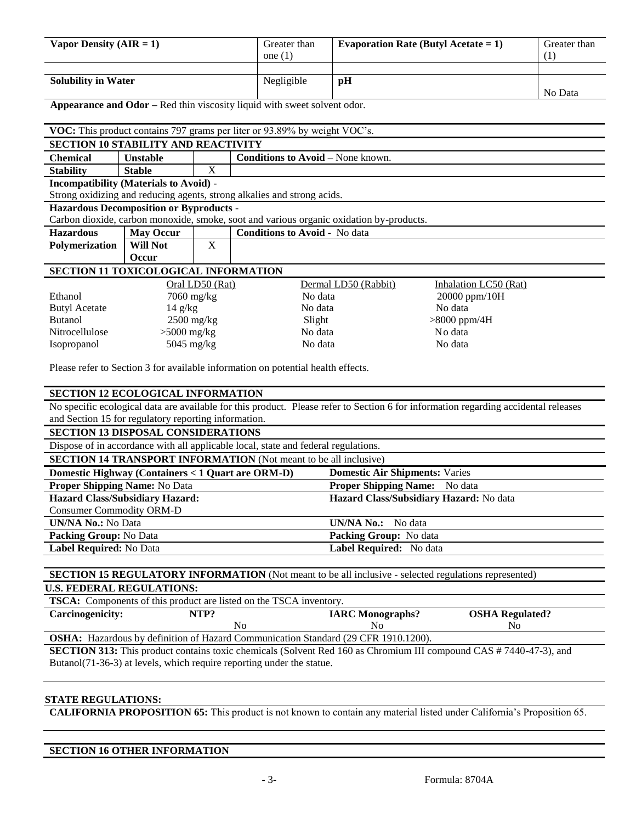| Vapor Density $(AIR = 1)$  | Greater than<br>one $(1)$ | Evaporation Rate (Butyl Acetate $= 1$ ) | Greater than |
|----------------------------|---------------------------|-----------------------------------------|--------------|
|                            |                           |                                         |              |
| <b>Solubility in Water</b> | Negligible                | pH                                      | No Data      |

**Appearance and Odor –** Red thin viscosity liquid with sweet solvent odor.

| VOC: This product contains 797 grams per liter or 93.89% by weight VOC's. |                  |                 |                                                                                         |                       |  |  |  |
|---------------------------------------------------------------------------|------------------|-----------------|-----------------------------------------------------------------------------------------|-----------------------|--|--|--|
| <b>SECTION 10 STABILITY AND REACTIVITY</b>                                |                  |                 |                                                                                         |                       |  |  |  |
| <b>Chemical</b>                                                           | <b>Unstable</b>  |                 | <b>Conditions to Avoid – None known.</b>                                                |                       |  |  |  |
| <b>Stability</b>                                                          | <b>Stable</b>    | X               |                                                                                         |                       |  |  |  |
| <b>Incompatibility (Materials to Avoid) -</b>                             |                  |                 |                                                                                         |                       |  |  |  |
|                                                                           |                  |                 | Strong oxidizing and reducing agents, strong alkalies and strong acids.                 |                       |  |  |  |
| <b>Hazardous Decomposition or Byproducts -</b>                            |                  |                 |                                                                                         |                       |  |  |  |
|                                                                           |                  |                 | Carbon dioxide, carbon monoxide, smoke, soot and various organic oxidation by-products. |                       |  |  |  |
| <b>Hazardous</b>                                                          | <b>May Occur</b> |                 | <b>Conditions to Avoid - No data</b>                                                    |                       |  |  |  |
| Polymerization                                                            | <b>Will Not</b>  | X               |                                                                                         |                       |  |  |  |
|                                                                           | <b>Occur</b>     |                 |                                                                                         |                       |  |  |  |
| SECTION 11 TOXICOLOGICAL INFORMATION                                      |                  |                 |                                                                                         |                       |  |  |  |
|                                                                           |                  | Oral LD50 (Rat) | Dermal LD50 (Rabbit)                                                                    | Inhalation LC50 (Rat) |  |  |  |
| Ethanol                                                                   | $7060$ mg/kg     |                 | No data                                                                                 | 20000 ppm/10H         |  |  |  |
| <b>Butyl Acetate</b>                                                      | $14$ g/kg        |                 | No data                                                                                 | No data               |  |  |  |
| <b>Butanol</b>                                                            | $2500$ mg/kg     |                 | Slight                                                                                  | $>8000$ ppm/4H        |  |  |  |
| Nitrocellulose                                                            | $>5000$ mg/kg    |                 | No data                                                                                 | No data               |  |  |  |
| <i>Isopropanol</i>                                                        | 5045 mg/kg       |                 | No data                                                                                 | No data               |  |  |  |

Please refer to Section 3 for available information on potential health effects.

#### **SECTION 12 ECOLOGICAL INFORMATION**

No specific ecological data are available for this product. Please refer to Section 6 for information regarding accidental releases and Section 15 for regulatory reporting information.

# **SECTION 13 DISPOSAL CONSIDERATIONS**

Dispose of in accordance with all applicable local, state and federal regulations.

| <b>SECTION 14 TRANSPORT INFORMATION</b> (Not meant to be all inclusive) |                                         |  |  |  |  |  |
|-------------------------------------------------------------------------|-----------------------------------------|--|--|--|--|--|
| Domestic Highway (Containers < 1 Quart are ORM-D)                       | <b>Domestic Air Shipments: Varies</b>   |  |  |  |  |  |
| <b>Proper Shipping Name: No Data</b>                                    | <b>Proper Shipping Name:</b> No data    |  |  |  |  |  |
| <b>Hazard Class/Subsidiary Hazard:</b>                                  | Hazard Class/Subsidiary Hazard: No data |  |  |  |  |  |
| <b>Consumer Commodity ORM-D</b>                                         |                                         |  |  |  |  |  |
| <b>UN/NA No.:</b> No Data                                               | <b>UN/NA No.:</b> No data               |  |  |  |  |  |
| <b>Packing Group: No Data</b>                                           | Packing Group: No data                  |  |  |  |  |  |
| Label Required: No Data                                                 | Label Required: No data                 |  |  |  |  |  |
|                                                                         |                                         |  |  |  |  |  |

# **SECTION 15 REGULATORY INFORMATION** (Not meant to be all inclusive - selected regulations represented) **U.S. FEDERAL REGULATIONS:**

| <b>TSCA:</b> Components of this product are listed on the TSCA inventory.                 |      |                         |                        |  |  |  |
|-------------------------------------------------------------------------------------------|------|-------------------------|------------------------|--|--|--|
| <b>Carcinogenicity:</b>                                                                   | NTP? | <b>IARC Monographs?</b> | <b>OSHA</b> Regulated? |  |  |  |
|                                                                                           | No   | No                      | No                     |  |  |  |
| <b>OSHA:</b> Hazardous by definition of Hazard Communication Standard (29 CFR 1910.1200). |      |                         |                        |  |  |  |

**SECTION 313:** This product contains toxic chemicals (Solvent Red 160 as Chromium III compound CAS # 7440-47-3), and Butanol(71-36-3) at levels, which require reporting under the statue.

#### **STATE REGULATIONS:**

**CALIFORNIA PROPOSITION 65:** This product is not known to contain any material listed under California's Proposition 65.

#### **SECTION 16 OTHER INFORMATION**